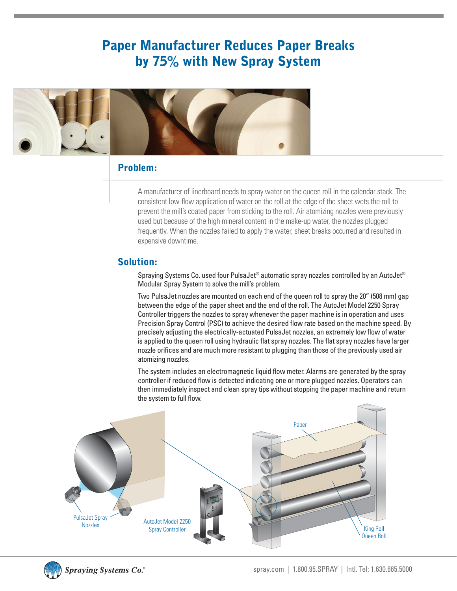## Paper Manufacturer Reduces Paper Breaks by 75% with New Spray System



### Problem:

A manufacturer of linerboard needs to spray water on the queen roll in the calendar stack. The consistent low-flow application of water on the roll at the edge of the sheet wets the roll to prevent the mill's coated paper from sticking to the roll. Air atomizing nozzles were previously used but because of the high mineral content in the make-up water, the nozzles plugged frequently. When the nozzles failed to apply the water, sheet breaks occurred and resulted in expensive downtime.

#### Solution:

Spraying Systems Co. used four PulsaJet® automatic spray nozzles controlled by an AutoJet® Modular Spray System to solve the mill's problem.

Two PulsaJet nozzles are mounted on each end of the queen roll to spray the 20" (508 mm) gap between the edge of the paper sheet and the end of the roll. The AutoJet Model 2250 Spray Controller triggers the nozzles to spray whenever the paper machine is in operation and uses Precision Spray Control (PSC) to achieve the desired flow rate based on the machine speed. By precisely adjusting the electrically-actuated PulsaJet nozzles, an extremely low flow of water is applied to the queen roll using hydraulic flat spray nozzles. The flat spray nozzles have larger nozzle orifices and are much more resistant to plugging than those of the previously used air atomizing nozzles.

The system includes an electromagnetic liquid flow meter. Alarms are generated by the spray controller if reduced flow is detected indicating one or more plugged nozzles. Operators can then immediately inspect and clean spray tips without stopping the paper machine and return the system to full flow.





**Spraying Systems Co.**®